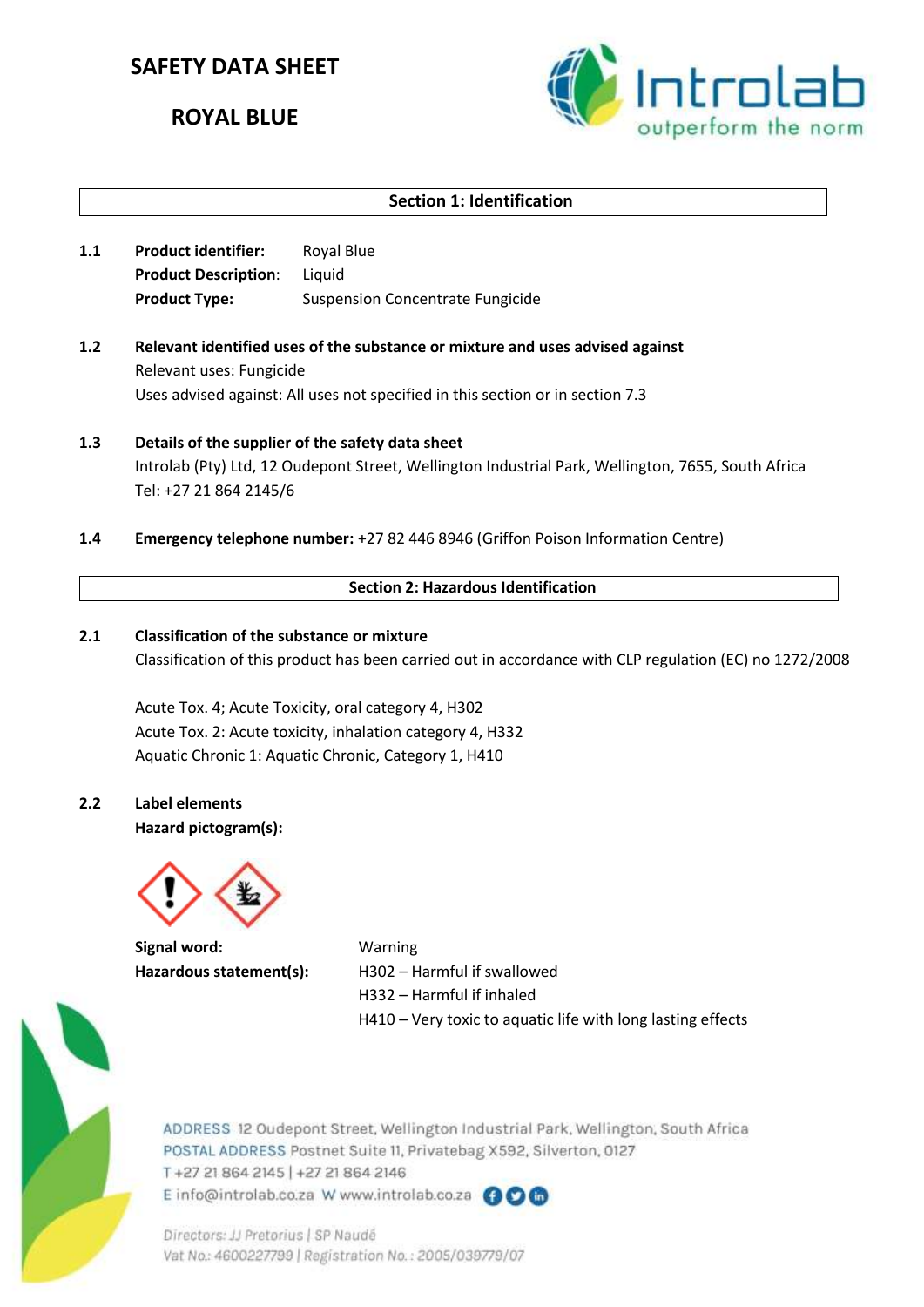# **SAFETY DATA SHEET**

# **ROYAL BLUE**



# **Section 1: Identification**

- **1.1 Product identifier:** Royal Blue **Product Description**: Liquid **Product Type:** Suspension Concentrate Fungicide
- **1.2 Relevant identified uses of the substance or mixture and uses advised against** Relevant uses: Fungicide Uses advised against: All uses not specified in this section or in section 7.3
- **1.3 Details of the supplier of the safety data sheet** Introlab (Pty) Ltd, 12 Oudepont Street, Wellington Industrial Park, Wellington, 7655, South Africa Tel: +27 21 864 2145/6
- **1.4 Emergency telephone number:** +27 82 446 8946 (Griffon Poison Information Centre)

#### **Section 2: Hazardous Identification**

#### **2.1 Classification of the substance or mixture**

Classification of this product has been carried out in accordance with CLP regulation (EC) no 1272/2008

Acute Tox. 4; Acute Toxicity, oral category 4, H302 Acute Tox. 2: Acute toxicity, inhalation category 4, H332 Aquatic Chronic 1: Aquatic Chronic, Category 1, H410

## **2.2 Label elements**

**Hazard pictogram(s):**



**Signal word:** Warning

Hazardous statement(s): H302 – Harmful if swallowed H332 – Harmful if inhaled H410 – Very toxic to aquatic life with long lasting effects



ADDRESS 12 Oudepont Street, Wellington Industrial Park, Wellington, South Africa POSTAL ADDRESS Postnet Suite 11, Privatebag X592, Silverton, 0127 T+27 21 864 2145 | +27 21 864 2146 E info@introlab.co.za W www.introlab.co.za @OG

Directors: JJ Pretorius | SP Naudé Vat No.: 4600227799 | Registration No.: 2005/039779/07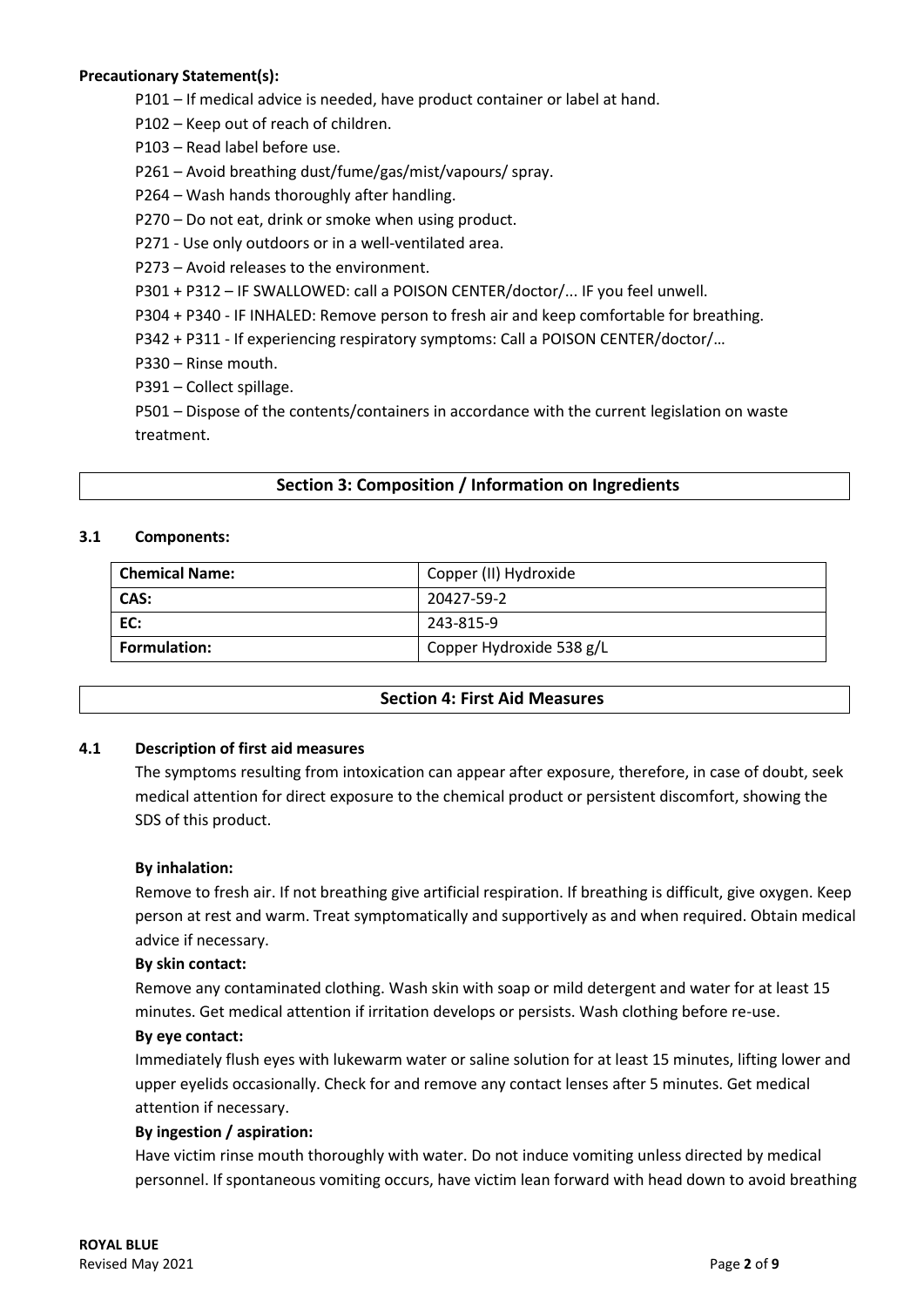## **Precautionary Statement(s):**

- P101 If medical advice is needed, have product container or label at hand.
- P102 Keep out of reach of children.
- P103 Read label before use.
- P261 Avoid breathing dust/fume/gas/mist/vapours/ spray.
- P264 Wash hands thoroughly after handling.
- P270 Do not eat, drink or smoke when using product.
- P271 Use only outdoors or in a well-ventilated area.
- P273 Avoid releases to the environment.
- P301 + P312 IF SWALLOWED: call a POISON CENTER/doctor/... IF you feel unwell.
- P304 + P340 IF INHALED: Remove person to fresh air and keep comfortable for breathing.
- P342 + P311 If experiencing respiratory symptoms: Call a POISON CENTER/doctor/…
- P330 Rinse mouth.
- P391 Collect spillage.

P501 – Dispose of the contents/containers in accordance with the current legislation on waste treatment.

## **Section 3: Composition / Information on Ingredients**

#### **3.1 Components:**

| <b>Chemical Name:</b> | Copper (II) Hydroxide    |  |
|-----------------------|--------------------------|--|
| CAS:                  | 20427-59-2               |  |
| EC:                   | 243-815-9                |  |
| <b>Formulation:</b>   | Copper Hydroxide 538 g/L |  |

#### **Section 4: First Aid Measures**

#### **4.1 Description of first aid measures**

The symptoms resulting from intoxication can appear after exposure, therefore, in case of doubt, seek medical attention for direct exposure to the chemical product or persistent discomfort, showing the SDS of this product.

#### **By inhalation:**

Remove to fresh air. If not breathing give artificial respiration. If breathing is difficult, give oxygen. Keep person at rest and warm. Treat symptomatically and supportively as and when required. Obtain medical advice if necessary.

#### **By skin contact:**

Remove any contaminated clothing. Wash skin with soap or mild detergent and water for at least 15 minutes. Get medical attention if irritation develops or persists. Wash clothing before re-use.

#### **By eye contact:**

Immediately flush eyes with lukewarm water or saline solution for at least 15 minutes, lifting lower and upper eyelids occasionally. Check for and remove any contact lenses after 5 minutes. Get medical attention if necessary.

#### **By ingestion / aspiration:**

Have victim rinse mouth thoroughly with water. Do not induce vomiting unless directed by medical personnel. If spontaneous vomiting occurs, have victim lean forward with head down to avoid breathing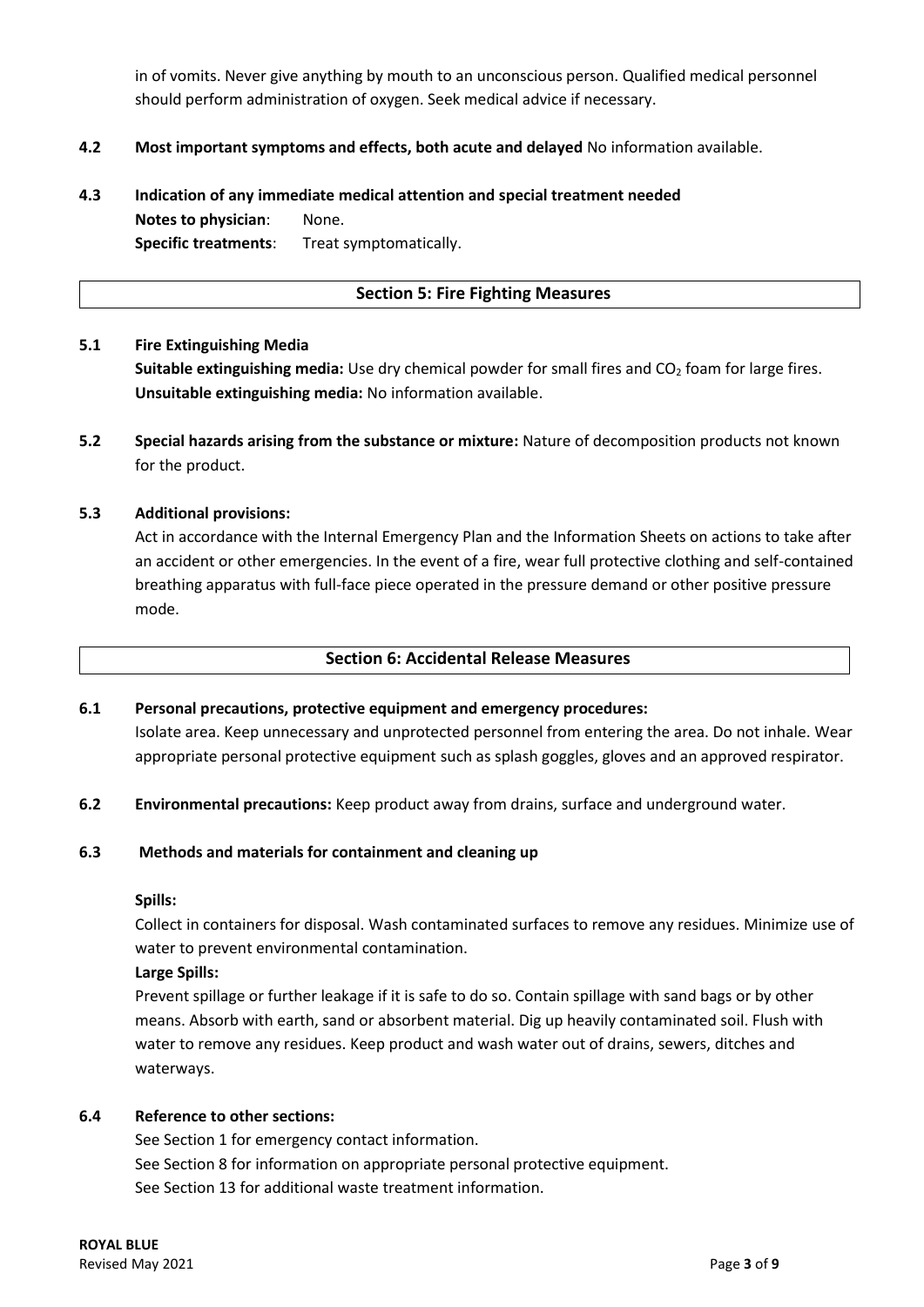in of vomits. Never give anything by mouth to an unconscious person. Qualified medical personnel should perform administration of oxygen. Seek medical advice if necessary.

## **4.2 Most important symptoms and effects, both acute and delayed** No information available.

# **4.3 Indication of any immediate medical attention and special treatment needed Notes to physician**: None. **Specific treatments**: Treat symptomatically.

#### **Section 5: Fire Fighting Measures**

#### **5.1 Fire Extinguishing Media**

**Suitable extinguishing media:** Use dry chemical powder for small fires and CO<sub>2</sub> foam for large fires. **Unsuitable extinguishing media:** No information available.

**5.2 Special hazards arising from the substance or mixture:** Nature of decomposition products not known for the product.

#### **5.3 Additional provisions:**

Act in accordance with the Internal Emergency Plan and the Information Sheets on actions to take after an accident or other emergencies. In the event of a fire, wear full protective clothing and self-contained breathing apparatus with full-face piece operated in the pressure demand or other positive pressure mode.

#### **Section 6: Accidental Release Measures**

#### **6.1 Personal precautions, protective equipment and emergency procedures:**

Isolate area. Keep unnecessary and unprotected personnel from entering the area. Do not inhale. Wear appropriate personal protective equipment such as splash goggles, gloves and an approved respirator.

**6.2 Environmental precautions:** Keep product away from drains, surface and underground water.

#### **6.3 Methods and materials for containment and cleaning up**

#### **Spills:**

Collect in containers for disposal. Wash contaminated surfaces to remove any residues. Minimize use of water to prevent environmental contamination.

#### **Large Spills:**

Prevent spillage or further leakage if it is safe to do so. Contain spillage with sand bags or by other means. Absorb with earth, sand or absorbent material. Dig up heavily contaminated soil. Flush with water to remove any residues. Keep product and wash water out of drains, sewers, ditches and waterways.

## **6.4 Reference to other sections:**

See Section 1 for emergency contact information. See Section 8 for information on appropriate personal protective equipment. See Section 13 for additional waste treatment information.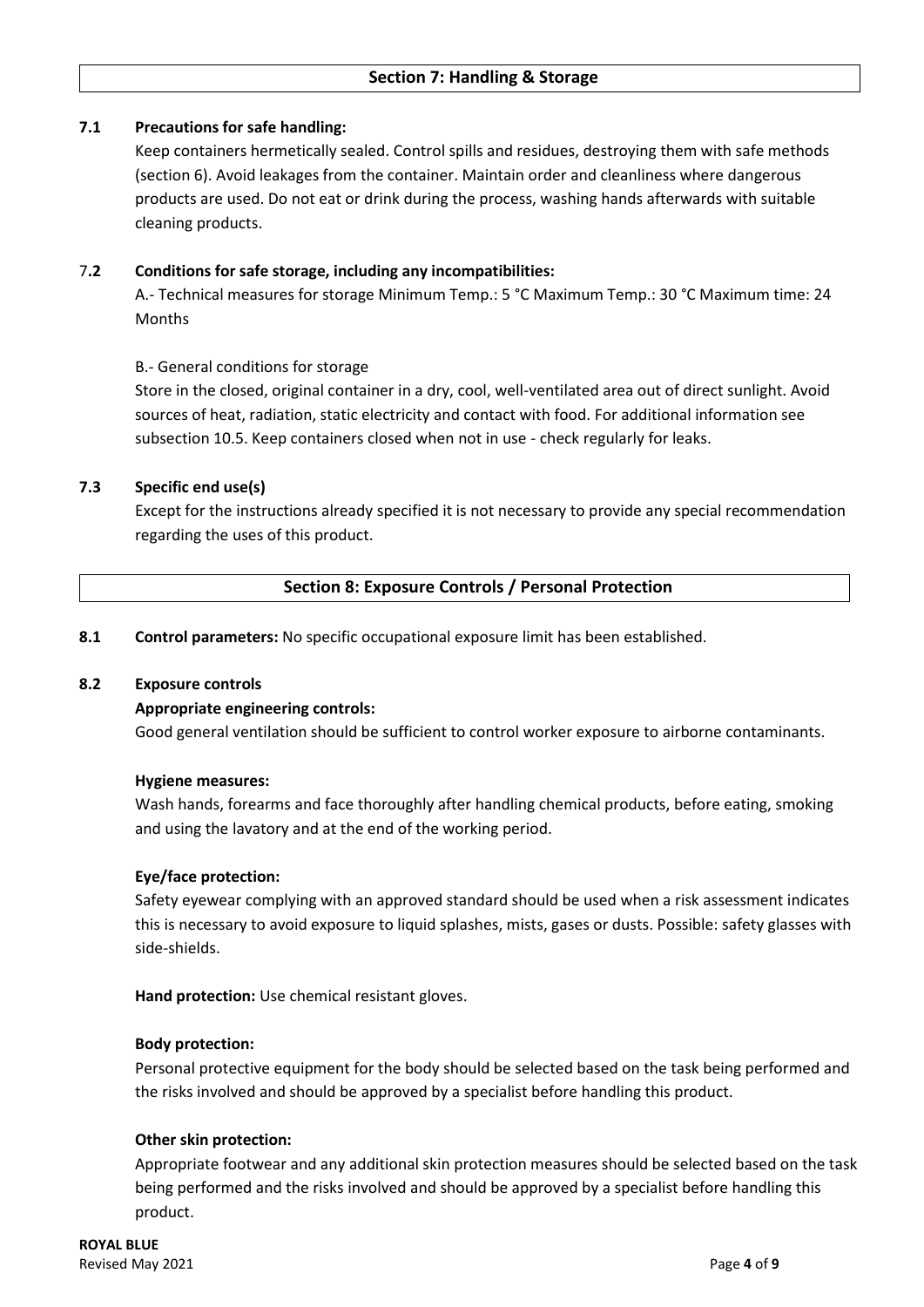## **7.1 Precautions for safe handling:**

Keep containers hermetically sealed. Control spills and residues, destroying them with safe methods (section 6). Avoid leakages from the container. Maintain order and cleanliness where dangerous products are used. Do not eat or drink during the process, washing hands afterwards with suitable cleaning products.

### 7**.2 Conditions for safe storage, including any incompatibilities:**

A.- Technical measures for storage Minimum Temp.: 5 °C Maximum Temp.: 30 °C Maximum time: 24 Months

## B.- General conditions for storage

Store in the closed, original container in a dry, cool, well-ventilated area out of direct sunlight. Avoid sources of heat, radiation, static electricity and contact with food. For additional information see subsection 10.5. Keep containers closed when not in use - check regularly for leaks.

## **7.3 Specific end use(s)**

Except for the instructions already specified it is not necessary to provide any special recommendation regarding the uses of this product.

## **Section 8: Exposure Controls / Personal Protection**

**8.1 Control parameters:** No specific occupational exposure limit has been established.

#### **8.2 Exposure controls**

#### **Appropriate engineering controls:**

Good general ventilation should be sufficient to control worker exposure to airborne contaminants.

#### **Hygiene measures:**

Wash hands, forearms and face thoroughly after handling chemical products, before eating, smoking and using the lavatory and at the end of the working period.

#### **Eye/face protection:**

Safety eyewear complying with an approved standard should be used when a risk assessment indicates this is necessary to avoid exposure to liquid splashes, mists, gases or dusts. Possible: safety glasses with side-shields.

**Hand protection:** Use chemical resistant gloves.

#### **Body protection:**

Personal protective equipment for the body should be selected based on the task being performed and the risks involved and should be approved by a specialist before handling this product.

#### **Other skin protection:**

Appropriate footwear and any additional skin protection measures should be selected based on the task being performed and the risks involved and should be approved by a specialist before handling this product.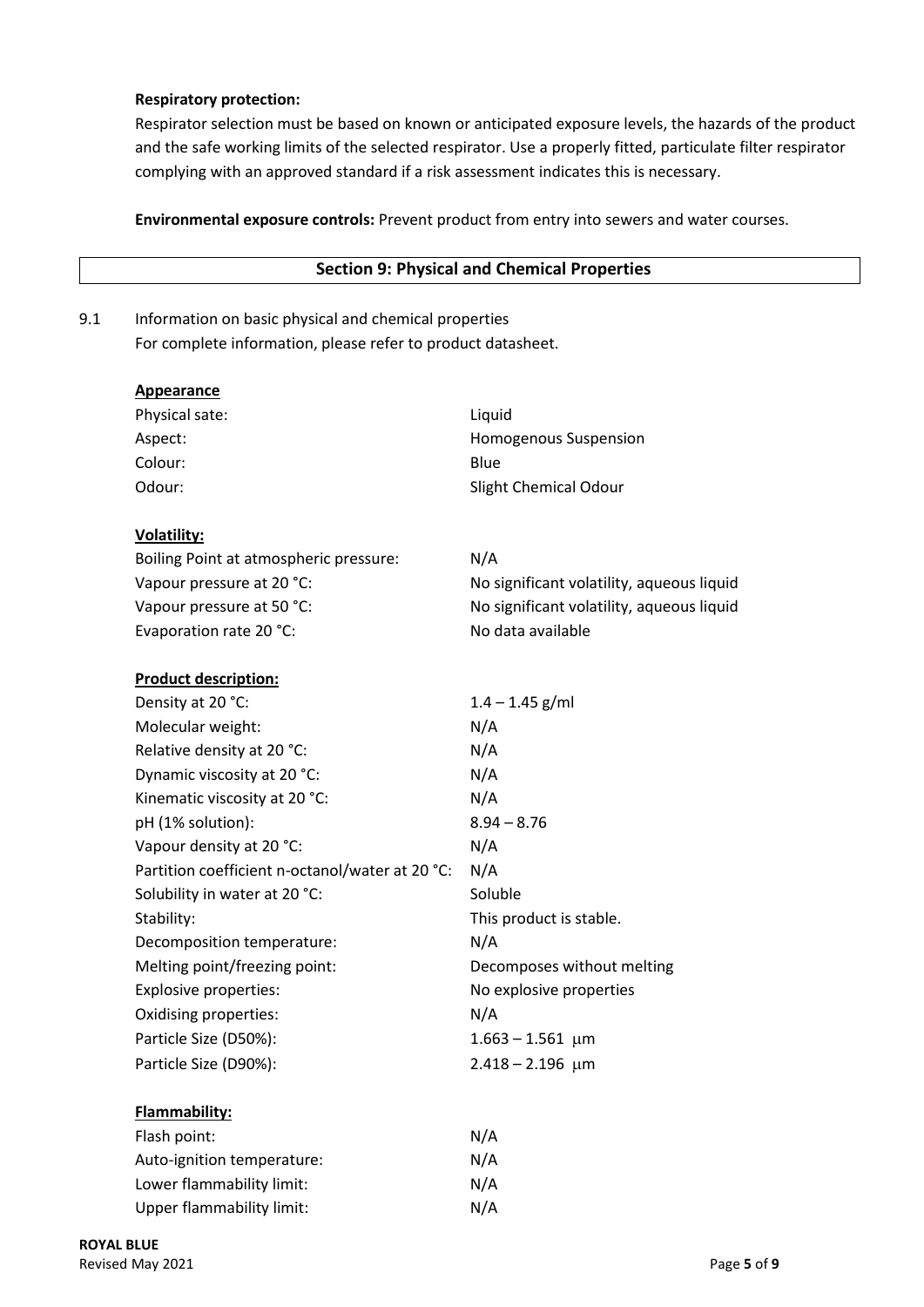## **Respiratory protection:**

Respirator selection must be based on known or anticipated exposure levels, the hazards of the product and the safe working limits of the selected respirator. Use a properly fitted, particulate filter respirator complying with an approved standard if a risk assessment indicates this is necessary.

**Environmental exposure controls:** Prevent product from entry into sewers and water courses.

|     |                                                              | <b>Section 9: Physical and Chemical Properties</b> |  |  |  |
|-----|--------------------------------------------------------------|----------------------------------------------------|--|--|--|
| 9.1 | Information on basic physical and chemical properties        |                                                    |  |  |  |
|     | For complete information, please refer to product datasheet. |                                                    |  |  |  |
|     | <b>Appearance</b>                                            |                                                    |  |  |  |
|     | Physical sate:                                               | Liquid                                             |  |  |  |
|     | Aspect:                                                      | Homogenous Suspension                              |  |  |  |
|     | Colour:                                                      | Blue                                               |  |  |  |
|     | Odour:                                                       | Slight Chemical Odour                              |  |  |  |
|     | <b>Volatility:</b>                                           |                                                    |  |  |  |
|     | Boiling Point at atmospheric pressure:                       | N/A                                                |  |  |  |
|     | Vapour pressure at 20 °C:                                    | No significant volatility, aqueous liquid          |  |  |  |
|     | Vapour pressure at 50 °C:                                    | No significant volatility, aqueous liquid          |  |  |  |
|     | Evaporation rate 20 °C:                                      | No data available                                  |  |  |  |
|     | <b>Product description:</b>                                  |                                                    |  |  |  |
|     | Density at 20 °C:                                            | $1.4 - 1.45$ g/ml                                  |  |  |  |
|     | Molecular weight:                                            | N/A                                                |  |  |  |
|     | Relative density at 20 °C:                                   | N/A                                                |  |  |  |
|     | Dynamic viscosity at 20 °C:                                  | N/A                                                |  |  |  |
|     | Kinematic viscosity at 20 °C:                                | N/A                                                |  |  |  |
|     | pH (1% solution):                                            | $8.94 - 8.76$                                      |  |  |  |
|     | Vapour density at 20 °C:                                     | N/A                                                |  |  |  |
|     | Partition coefficient n-octanol/water at 20 °C:              | N/A                                                |  |  |  |
|     | Solubility in water at 20 °C:                                | Soluble                                            |  |  |  |
|     | Stability:                                                   | This product is stable.                            |  |  |  |
|     | Decomposition temperature:                                   | N/A                                                |  |  |  |
|     | Melting point/freezing point:                                | Decomposes without melting                         |  |  |  |
|     | <b>Explosive properties:</b>                                 | No explosive properties                            |  |  |  |
|     | Oxidising properties:                                        | N/A                                                |  |  |  |
|     | Particle Size (D50%):                                        | $1.663 - 1.561$ µm                                 |  |  |  |
|     | Particle Size (D90%):                                        | $2.418 - 2.196$ µm                                 |  |  |  |
|     | Flammability:                                                |                                                    |  |  |  |
|     | Flash point:                                                 | N/A                                                |  |  |  |
|     | Auto-ignition temperature:                                   | N/A                                                |  |  |  |
|     | Lower flammability limit:                                    | N/A                                                |  |  |  |
|     | <b>Upper flammability limit:</b>                             | N/A                                                |  |  |  |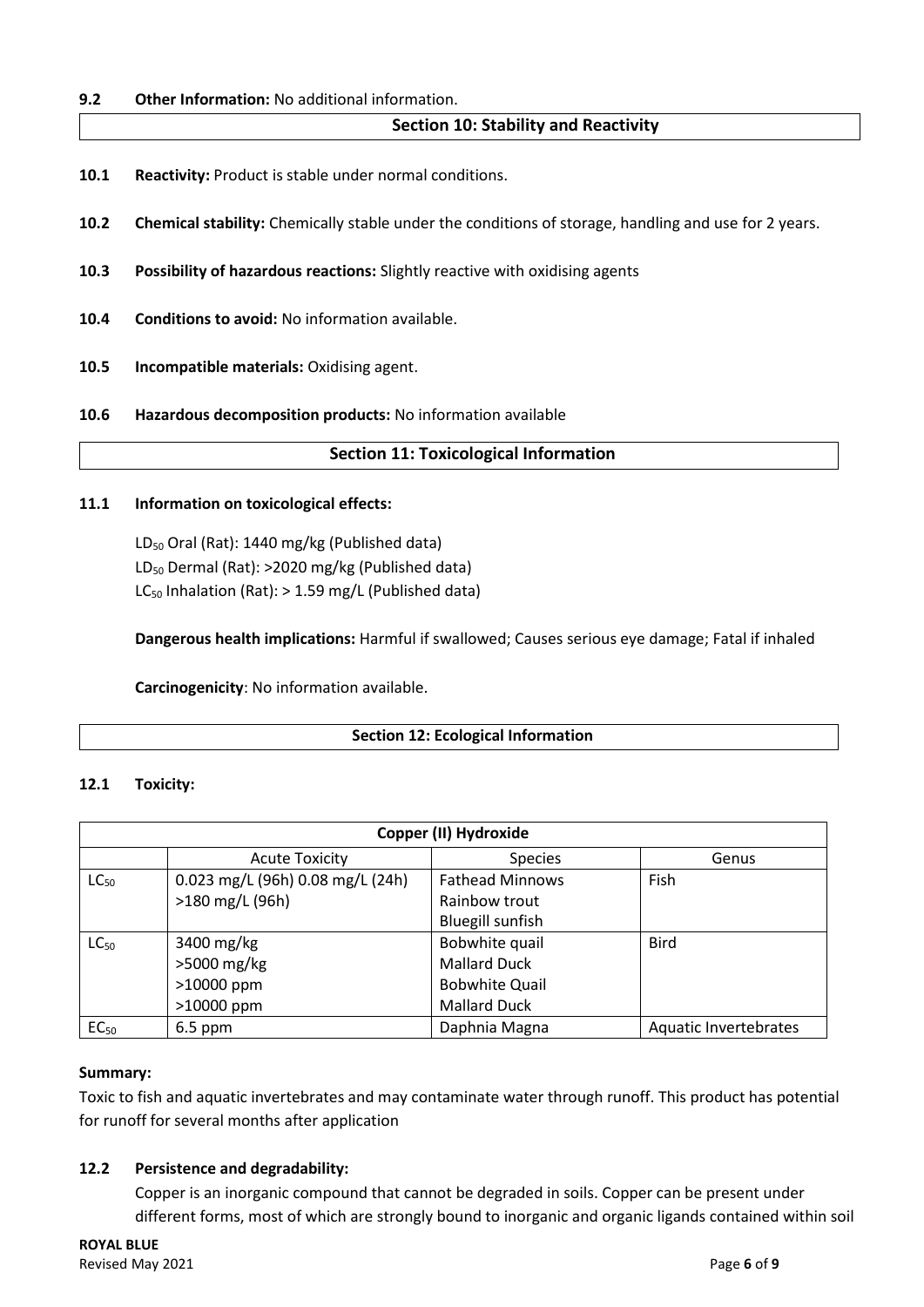### **9.2 Other Information:** No additional information.

## **Section 10: Stability and Reactivity**

- **10.1 Reactivity:** Product is stable under normal conditions.
- **10.2 Chemical stability:** Chemically stable under the conditions of storage, handling and use for 2 years.
- **10.3 Possibility of hazardous reactions:** Slightly reactive with oxidising agents
- **10.4 Conditions to avoid:** No information available.
- **10.5 Incompatible materials:** Oxidising agent.
- **10.6 Hazardous decomposition products:** No information available

#### **Section 11: Toxicological Information**

#### **11.1 Information on toxicological effects:**

LD<sub>50</sub> Oral (Rat): 1440 mg/kg (Published data) LD<sub>50</sub> Dermal (Rat): >2020 mg/kg (Published data)  $LC_{50}$  Inhalation (Rat): > 1.59 mg/L (Published data)

**Dangerous health implications:** Harmful if swallowed; Causes serious eye damage; Fatal if inhaled

**Carcinogenicity**: No information available.

## **Section 12: Ecological Information**

#### **12.1 Toxicity:**

| Copper (II) Hydroxide |                                  |                         |                       |  |
|-----------------------|----------------------------------|-------------------------|-----------------------|--|
|                       | <b>Acute Toxicity</b>            | <b>Species</b>          | Genus                 |  |
| $LC_{50}$             | 0.023 mg/L (96h) 0.08 mg/L (24h) | <b>Fathead Minnows</b>  | Fish                  |  |
|                       | >180 mg/L (96h)                  | Rainbow trout           |                       |  |
|                       |                                  | <b>Bluegill sunfish</b> |                       |  |
| $LC_{50}$             | 3400 mg/kg                       | Bobwhite quail          | <b>Bird</b>           |  |
|                       | >5000 mg/kg                      | <b>Mallard Duck</b>     |                       |  |
|                       | >10000 ppm                       | <b>Bobwhite Quail</b>   |                       |  |
|                       | >10000 ppm                       | <b>Mallard Duck</b>     |                       |  |
| EC <sub>50</sub>      | $6.5$ ppm                        | Daphnia Magna           | Aquatic Invertebrates |  |

#### **Summary:**

Toxic to fish and aquatic invertebrates and may contaminate water through runoff. This product has potential for runoff for several months after application

#### **12.2 Persistence and degradability:**

Copper is an inorganic compound that cannot be degraded in soils. Copper can be present under different forms, most of which are strongly bound to inorganic and organic ligands contained within soil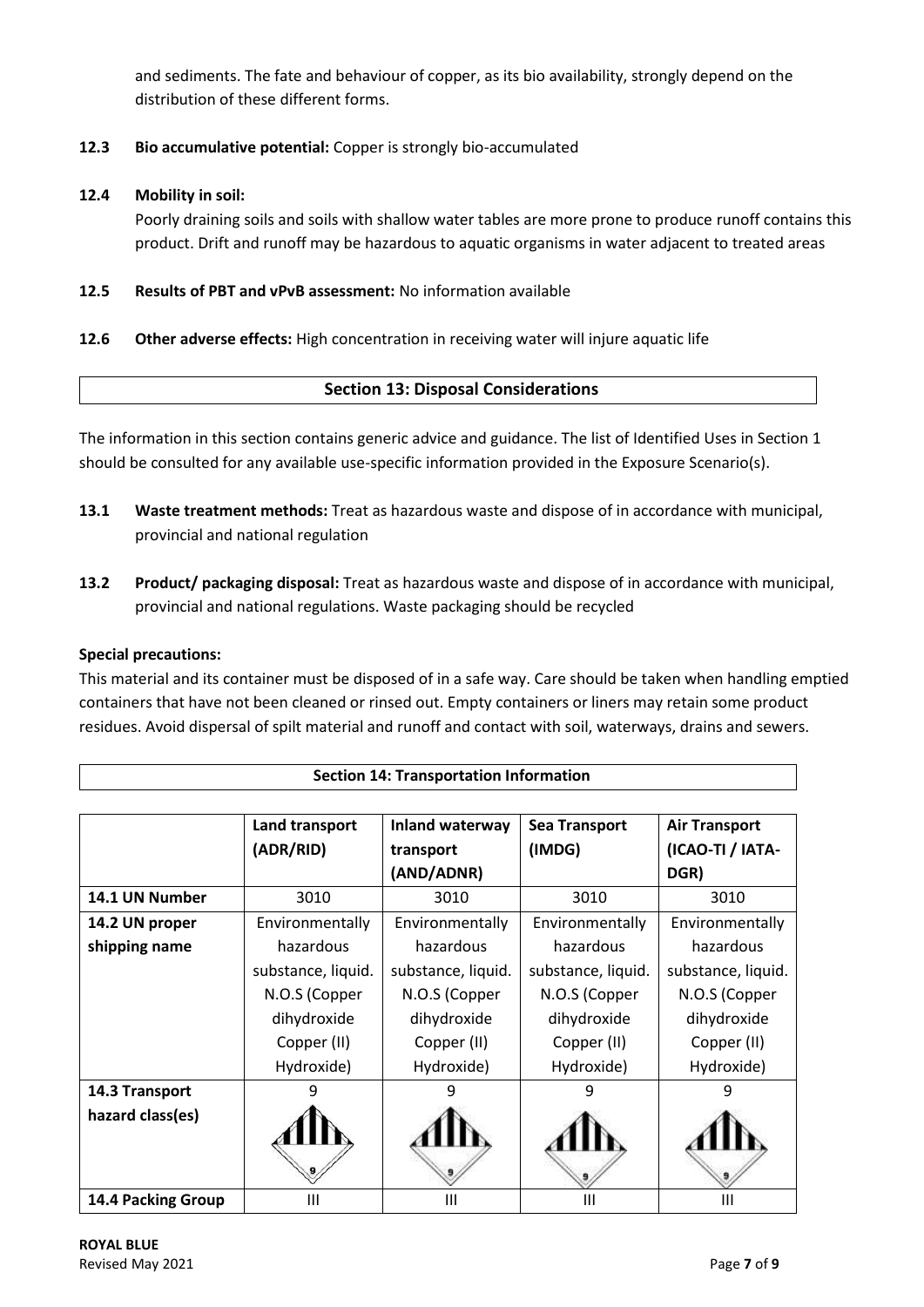and sediments. The fate and behaviour of copper, as its bio availability, strongly depend on the distribution of these different forms.

# **12.3 Bio accumulative potential:** Copper is strongly bio-accumulated

## **12.4 Mobility in soil:**

Poorly draining soils and soils with shallow water tables are more prone to produce runoff contains this product. Drift and runoff may be hazardous to aquatic organisms in water adjacent to treated areas

**12.5 Results of PBT and vPvB assessment:** No information available

## **12.6 Other adverse effects:** High concentration in receiving water will injure aquatic life

# **Section 13: Disposal Considerations**

The information in this section contains generic advice and guidance. The list of Identified Uses in Section 1 should be consulted for any available use-specific information provided in the Exposure Scenario(s).

- **13.1 Waste treatment methods:** Treat as hazardous waste and dispose of in accordance with municipal, provincial and national regulation
- **13.2 Product/ packaging disposal:** Treat as hazardous waste and dispose of in accordance with municipal, provincial and national regulations. Waste packaging should be recycled

## **Special precautions:**

This material and its container must be disposed of in a safe way. Care should be taken when handling emptied containers that have not been cleaned or rinsed out. Empty containers or liners may retain some product residues. Avoid dispersal of spilt material and runoff and contact with soil, waterways, drains and sewers.

**Section 14: Transportation Information**

|                    | Land transport     | <b>Inland waterway</b> | <b>Sea Transport</b> | <b>Air Transport</b> |
|--------------------|--------------------|------------------------|----------------------|----------------------|
|                    | (ADR/RID)          | transport              | (IMDG)               | (ICAO-TI / IATA-     |
|                    |                    | (AND/ADNR)             |                      | DGR)                 |
| 14.1 UN Number     | 3010               | 3010                   | 3010                 | 3010                 |
| 14.2 UN proper     | Environmentally    | Environmentally        | Environmentally      | Environmentally      |
| shipping name      | hazardous          | hazardous              | hazardous            | hazardous            |
|                    | substance, liquid. | substance, liquid.     | substance, liquid.   | substance, liquid.   |
|                    | N.O.S (Copper      | N.O.S (Copper          | N.O.S (Copper        | N.O.S (Copper        |
|                    | dihydroxide        | dihydroxide            | dihydroxide          | dihydroxide          |
|                    | Copper (II)        | Copper (II)            | Copper (II)          | Copper (II)          |
|                    | Hydroxide)         | Hydroxide)             | Hydroxide)           | Hydroxide)           |
| 14.3 Transport     |                    | 9                      |                      |                      |
| hazard class(es)   |                    |                        |                      |                      |
| 14.4 Packing Group | Ш                  | Ш                      | Ш                    | Ш                    |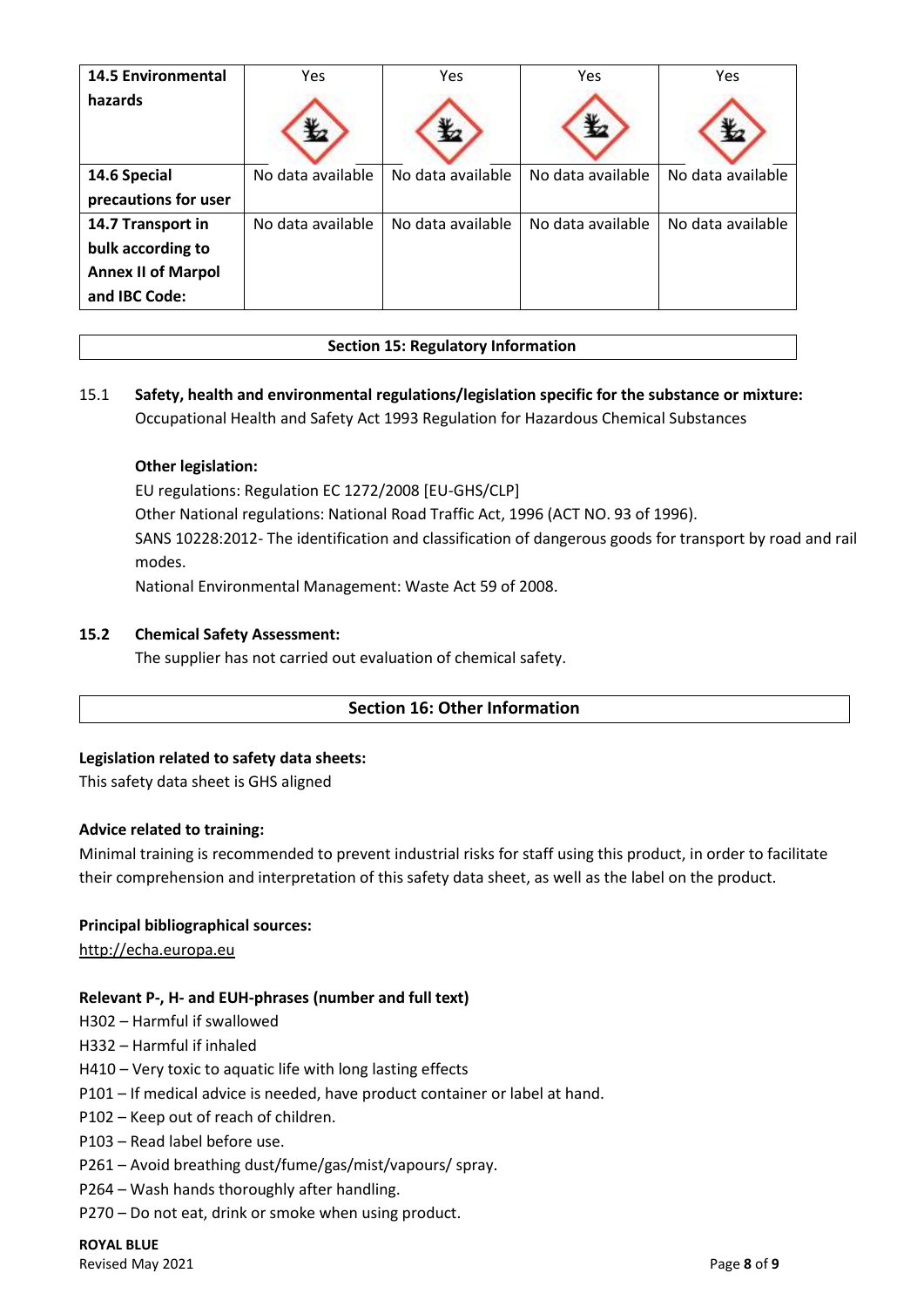| <b>14.5 Environmental</b> | Yes               | Yes               | Yes               | Yes               |
|---------------------------|-------------------|-------------------|-------------------|-------------------|
| hazards                   |                   |                   |                   |                   |
| 14.6 Special              | No data available | No data available | No data available | No data available |
| precautions for user      |                   |                   |                   |                   |
| 14.7 Transport in         | No data available | No data available | No data available | No data available |
| bulk according to         |                   |                   |                   |                   |
| <b>Annex II of Marpol</b> |                   |                   |                   |                   |
| and IBC Code:             |                   |                   |                   |                   |

## **Section 15: Regulatory Information**

# 15.1 **Safety, health and environmental regulations/legislation specific for the substance or mixture:** Occupational Health and Safety Act 1993 Regulation for Hazardous Chemical Substances

## **Other legislation:**

EU regulations: Regulation EC 1272/2008 [EU-GHS/CLP]

Other National regulations: National Road Traffic Act, 1996 (ACT NO. 93 of 1996).

SANS 10228:2012- The identification and classification of dangerous goods for transport by road and rail modes.

National Environmental Management: Waste Act 59 of 2008.

#### **15.2 Chemical Safety Assessment:**

The supplier has not carried out evaluation of chemical safety.

## **Section 16: Other Information**

#### **Legislation related to safety data sheets:**

This safety data sheet is GHS aligned

#### **Advice related to training:**

Minimal training is recommended to prevent industrial risks for staff using this product, in order to facilitate their comprehension and interpretation of this safety data sheet, as well as the label on the product.

#### **Principal bibliographical sources:**

[http://echa.europa.eu](http://echa.europa.eu/)

## **Relevant P-, H- and EUH-phrases (number and full text)**

- H302 Harmful if swallowed
- H332 Harmful if inhaled
- H410 Very toxic to aquatic life with long lasting effects
- P101 If medical advice is needed, have product container or label at hand.
- P102 Keep out of reach of children.
- P103 Read label before use.
- P261 Avoid breathing dust/fume/gas/mist/vapours/ spray.
- P264 Wash hands thoroughly after handling.
- P270 Do not eat, drink or smoke when using product.

# **ROYAL BLUE**

Revised May 2021 Page **8** of **9**